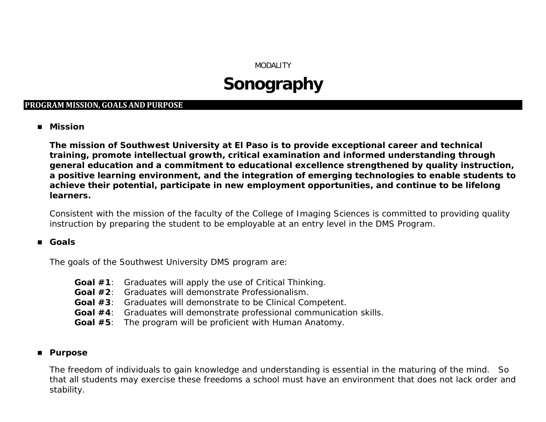## MODALITY

# **Sonography**

## **PROGRAM MISSION, GOALS AND PURPOSE**

**Mission**

**The mission of Southwest University at El Paso is to provide exceptional career and technical training, promote intellectual growth, critical examination and informed understanding through general education and a commitment to educational excellence strengthened by quality instruction, a positive learning environment, and the integration of emerging technologies to enable students to achieve their potential, participate in new employment opportunities, and continue to be lifelong learners.** 

Consistent with the mission of the faculty of the College of Imaging Sciences is committed to providing quality instruction by preparing the student to be employable at an entry level in the DMS Program.

### **Goals**

The goals of the Southwest University DMS program are:

- **Goal #1**: Graduates will apply the use of Critical Thinking.
- **Goal #2**: Graduates will demonstrate Professionalism.
- **Goal #3**: Graduates will demonstrate to be Clinical Competent.
- **Goal #4**: Graduates will demonstrate professional communication skills.
- **Goal #5**: The program will be proficient with Human Anatomy.

## **Purpose**

The freedom of individuals to gain knowledge and understanding is essential in the maturing of the mind. So that all students may exercise these freedoms a school must have an environment that does not lack order and stability.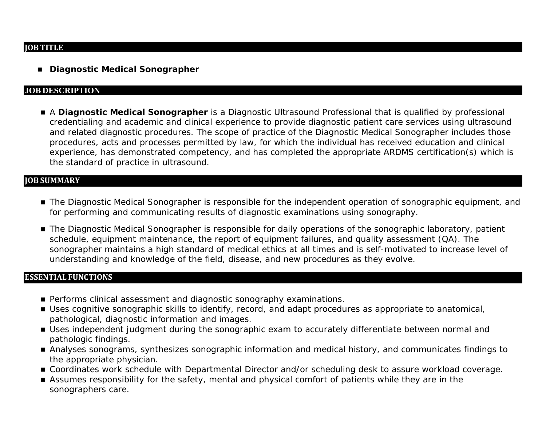#### **JOB TITLE**

**Diagnostic Medical Sonographer**

#### **JOB DESCRIPTION**

 A **Diagnostic Medical Sonographer** is a Diagnostic Ultrasound Professional that is qualified by professional credentialing and academic and clinical experience to provide diagnostic patient care services using ultrasound and related diagnostic procedures. The scope of practice of the Diagnostic Medical Sonographer includes those procedures, acts and processes permitted by law, for which the individual has received education and clinical experience, has demonstrated competency, and has completed the appropriate ARDMS certification(s) which is the standard of practice in ultrasound.

#### **JOB SUMMARY**

- The Diagnostic Medical Sonographer is responsible for the independent operation of sonographic equipment, and for performing and communicating results of diagnostic examinations using sonography.
- The Diagnostic Medical Sonographer is responsible for daily operations of the sonographic laboratory, patient schedule, equipment maintenance, the report of equipment failures, and quality assessment (QA). The sonographer maintains a high standard of medical ethics at all times and is self-motivated to increase level of understanding and knowledge of the field, disease, and new procedures as they evolve.

#### **ESSENTIAL FUNCTIONS**

- **Performs clinical assessment and diagnostic sonography examinations.**
- Uses cognitive sonographic skills to identify, record, and adapt procedures as appropriate to anatomical, pathological, diagnostic information and images.
- Uses independent judgment during the sonographic exam to accurately differentiate between normal and pathologic findings.
- Analyses sonograms, synthesizes sonographic information and medical history, and communicates findings to the appropriate physician.
- Coordinates work schedule with Departmental Director and/or scheduling desk to assure workload coverage.
- Assumes responsibility for the safety, mental and physical comfort of patients while they are in the sonographers care.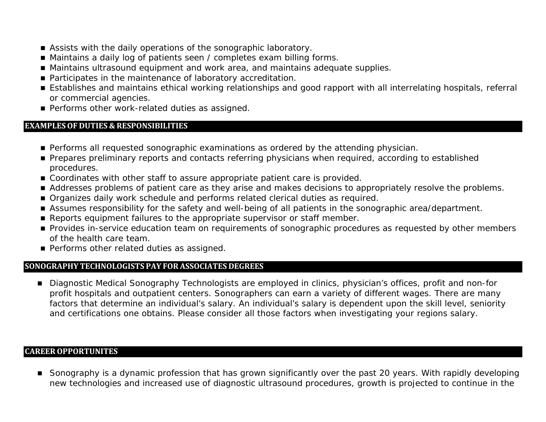- Assists with the daily operations of the sonographic laboratory.
- Maintains a daily log of patients seen / completes exam billing forms.
- Maintains ultrasound equipment and work area, and maintains adequate supplies.
- Participates in the maintenance of laboratory accreditation.
- Establishes and maintains ethical working relationships and good rapport with all interrelating hospitals, referral or commercial agencies.
- **Performs other work-related duties as assigned.**

## **EXAMPLESOF DUTIES & RESPONSIBILITIES**

- **Performs all requested sonographic examinations as ordered by the attending physician.**
- **Prepares preliminary reports and contacts referring physicians when required, according to established** procedures.
- Coordinates with other staff to assure appropriate patient care is provided.
- Addresses problems of patient care as they arise and makes decisions to appropriately resolve the problems.
- **Organizes daily work schedule and performs related clerical duties as required.**
- Assumes responsibility for the safety and well-being of all patients in the sonographic area/department.
- Reports equipment failures to the appropriate supervisor or staff member.
- **Provides in-service education team on requirements of sonographic procedures as requested by other members** of the health care team.
- **Performs other related duties as assigned.**

## **SONOGRAPHY TECHNOLOGISTS PAY FOR ASSOCIATES DEGREES**

■ Diagnostic Medical Sonography Technologists are employed in clinics, physician's offices, profit and non-for profit hospitals and outpatient centers. Sonographers can earn a variety of different wages. There are many factors that determine an individual's salary. An individual's salary is dependent upon the skill level, seniority and certifications one obtains. Please consider all those factors when investigating your regions salary.

## **CAREEROPPORTUNITES**

■ Sonography is a dynamic profession that has grown significantly over the past 20 years. With rapidly developing new technologies and increased use of diagnostic ultrasound procedures, growth is projected to continue in the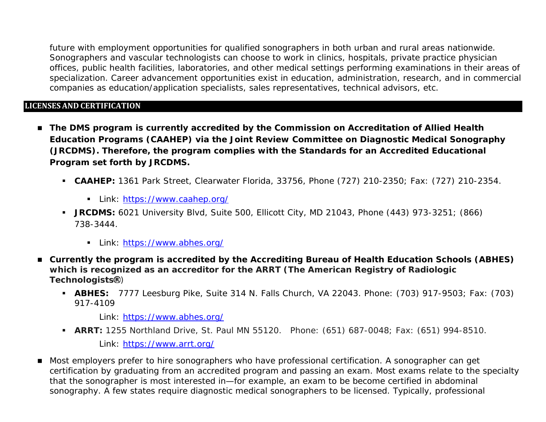future with employment opportunities for qualified sonographers in both urban and rural areas nationwide. Sonographers and vascular technologists can choose to work in clinics, hospitals, private practice physician offices, public health facilities, laboratories, and other medical settings performing examinations in their areas of specialization. Career advancement opportunities exist in education, administration, research, and in commercial companies as education/application specialists, sales representatives, technical advisors, etc.

## **LICENSES AND CERTIFICATION**

- The DMS program is currently accredited by the Commission on Accreditation of Allied Health **Education Programs (CAAHEP) via the Joint Review Committee on Diagnostic Medical Sonography (JRCDMS). Therefore, the program complies with the Standards for an Accredited Educational Program set forth by JRCDMS.**
	- **CAAHEP:** 1361 Park Street, Clearwater Florida, 33756, Phone (727) 210-2350; Fax: (727) 210-2354.
		- Link:<https://www.caahep.org/>
	- **JRCDMS:** 6021 University Blvd, Suite 500, Ellicott City, MD 21043, Phone (443) 973-3251; (866) 738-3444.
		- Link:<https://www.abhes.org/>
- **Currently the program is accredited by the Accrediting Bureau of Health Education Schools (ABHES) which is recognized as an accreditor for the ARRT (The American Registry of Radiologic Technologists** )
	- **ABHES:** 7777 Leesburg Pike, Suite 314 N. Falls Church, VA 22043. Phone: (703) 917-9503; Fax: (703) 917-4109

Link:<https://www.abhes.org/>

**ARRT:** 1255 Northland Drive, St. Paul MN 55120. Phone: (651) 687-0048; Fax: (651) 994-8510.

Link:<https://www.arrt.org/>

■ Most employers prefer to hire sonographers who have professional certification. A sonographer can get certification by graduating from an accredited program and passing an exam. Most exams relate to the specialty that the sonographer is most interested in—for example, an exam to be become certified in abdominal sonography. A few states require diagnostic medical sonographers to be licensed. Typically, professional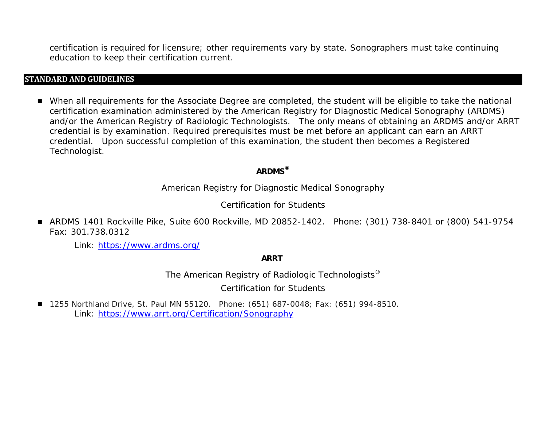certification is required for licensure; other requirements vary by state. Sonographers must take continuing education to keep their certification current.

#### **STANDARD AND GUIDELINES**

 When all requirements for the Associate Degree are completed, the student will be eligible to take the national certification examination administered by the American Registry for Diagnostic Medical Sonography (ARDMS) and/or the American Registry of Radiologic Technologists. The only means of obtaining an ARDMS and/or ARRT credential is by examination. Required prerequisites must be met before an applicant can earn an ARRT credential. Upon successful completion of this examination, the student then becomes a Registered Technologist.

## **ARDMS***®*

American Registry for Diagnostic Medical Sonography

Certification for Students

 ARDMS 1401 Rockville Pike, Suite 600 Rockville, MD 20852-1402. Phone: (301) 738-8401 or (800) 541-9754 Fax: 301.738.0312

Link:<https://www.ardms.org/>

**ARRT**

*The American Registry of Radiologic Technologists®*

Certification for Students

■ 1255 Northland Drive, St. Paul MN 55120. Phone: (651) 687-0048; Fax: (651) 994-8510. Link:<https://www.arrt.org/Certification/Sonography>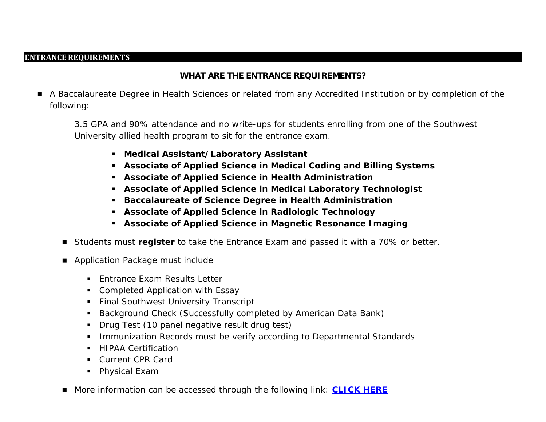#### **ENTRANCE REQUIREMENTS**

## **WHAT ARE THE ENTRANCE REQUIREMENTS?**

 A Baccalaureate Degree in Health Sciences or related from any Accredited Institution or by completion of the following:

3.5 GPA and 90% attendance and no write-ups for students enrolling from one of the Southwest University allied health program to sit for the entrance exam.

- **Medical Assistant/Laboratory Assistant**
- **Associate of Applied Science in Medical Coding and Billing Systems**
- **Associate of Applied Science in Health Administration**
- **Associate of Applied Science in Medical Laboratory Technologist**
- **Baccalaureate of Science Degree in Health Administration**
- **Associate of Applied Science in Radiologic Technology**
- **Associate of Applied Science in Magnetic Resonance Imaging**
- Students must **register** to take the Entrance Exam and passed it with a 70% or better.
- Application Package must include
	- **Fatrance Exam Results Letter**
	- **Completed Application with Essay**
	- **Final Southwest University Transcript**
	- **Background Check (Successfully completed by American Data Bank)**
	- **Drug Test (10 panel negative result drug test)**
	- **Immunization Records must be verify according to Departmental Standards**
	- **HIPAA Certification**
	- Current CPR Card
	- **Physical Exam**
- More information can be accessed through the following link: **[CLICK HERE](http://southwestuniversity.edu/wp-content/uploads/2015/06/Imaging-Programs-Requirements-Application-Process.pdf)**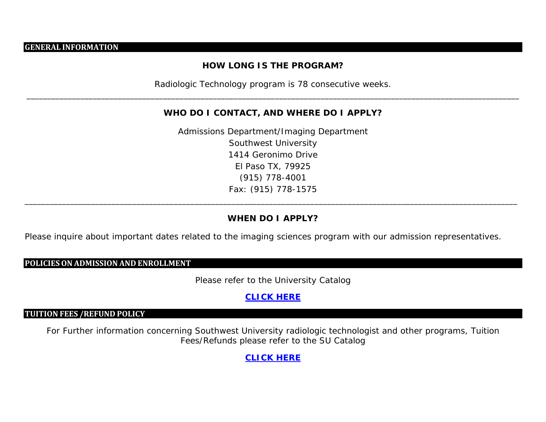#### **GENERAL INFORMATION**

## **HOW LONG IS THE PROGRAM?**

Radiologic Technology program is 78 consecutive weeks. \_\_\_\_\_\_\_\_\_\_\_\_\_\_\_\_\_\_\_\_\_\_\_\_\_\_\_\_\_\_\_\_\_\_\_\_\_\_\_\_\_\_\_\_\_\_\_\_\_\_\_\_\_\_\_\_\_\_\_\_\_\_\_\_\_\_\_\_\_\_\_\_\_\_\_\_\_\_\_\_\_\_\_\_\_\_\_\_\_\_\_\_\_\_\_\_\_\_\_\_\_\_\_\_\_\_\_\_\_\_\_\_\_\_\_\_\_\_\_

#### **WHO DO I CONTACT, AND WHERE DO I APPLY?**

Admissions Department/Imaging Department Southwest University 1414 Geronimo Drive El Paso TX, 79925 (915) 778-4001 Fax: (915) 778-1575

### **WHEN DO I APPLY?**

\_\_\_\_\_\_\_\_\_\_\_\_\_\_\_\_\_\_\_\_\_\_\_\_\_\_\_\_\_\_\_\_\_\_\_\_\_\_\_\_\_\_\_\_\_\_\_\_\_\_\_\_\_\_\_\_\_\_\_\_\_\_\_\_\_\_\_\_\_\_\_\_\_\_\_\_\_\_\_\_\_\_\_\_\_\_\_\_\_\_\_\_\_\_\_\_\_\_\_\_\_\_\_\_\_\_\_\_\_\_\_\_\_\_\_\_\_\_\_

Please inquire about important dates related to the imaging sciences program with our admission representatives.

#### **POLICIESON ADMISSION AND ENROLLMENT**

Please refer to the University Catalog

## **[CLICK HERE](http://southwestuniversity.edu/PDF/Catalog.pdf)**

## **TUITION FEES /REFUND POLICY**

For Further information concerning Southwest University radiologic technologist and other programs, Tuition Fees/Refunds please refer to the SU Catalog

**[CLICK HERE](http://southwestuniversity.edu/PDF/Catalog.pdf)**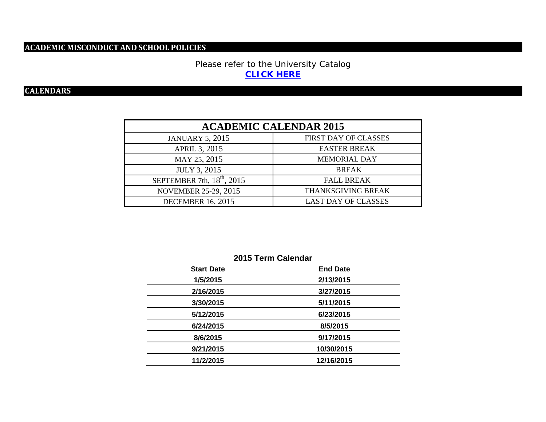## **ACADEMIC MISCONDUCT AND SCHOOL POLICIES**

## Please refer to the University Catalog **[CLICK HERE](http://southwestuniversity.edu/PDF/Catalog.pdf)**

## **CALENDARS**

| <b>ACADEMIC CALENDAR 2015</b>   |                            |  |  |
|---------------------------------|----------------------------|--|--|
| <b>JANUARY 5, 2015</b>          | FIRST DAY OF CLASSES       |  |  |
| APRIL 3, 2015                   | <b>EASTER BREAK</b>        |  |  |
| MAY 25, 2015                    | <b>MEMORIAL DAY</b>        |  |  |
| <b>JULY 3, 2015</b>             | <b>BREAK</b>               |  |  |
| SEPTEMBER 7th, $18^{th}$ , 2015 | <b>FALL BREAK</b>          |  |  |
| <b>NOVEMBER 25-29, 2015</b>     | THANKSGIVING BREAK         |  |  |
| <b>DECEMBER 16, 2015</b>        | <b>LAST DAY OF CLASSES</b> |  |  |

| 2015 Term Calendar |                 |  |  |
|--------------------|-----------------|--|--|
| <b>Start Date</b>  | <b>End Date</b> |  |  |
| 1/5/2015           | 2/13/2015       |  |  |
| 2/16/2015          | 3/27/2015       |  |  |
| 3/30/2015          | 5/11/2015       |  |  |
| 5/12/2015          | 6/23/2015       |  |  |
| 6/24/2015          | 8/5/2015        |  |  |
| 8/6/2015           | 9/17/2015       |  |  |
| 9/21/2015          | 10/30/2015      |  |  |
| 11/2/2015          | 12/16/2015      |  |  |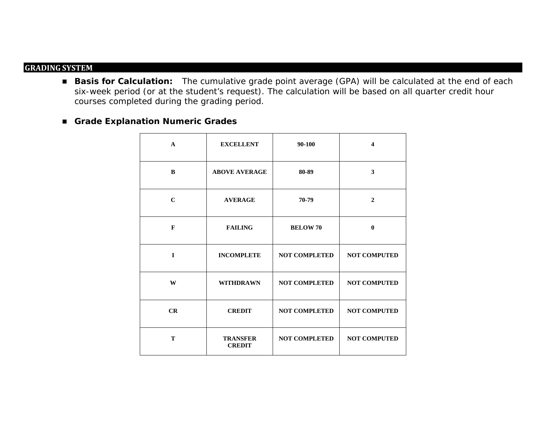## **GRADING SYSTEM**

- **Basis for Calculation:** The cumulative grade point average (GPA) will be calculated at the end of each six-week period (or at the student's request). The calculation will be based on all quarter credit hour courses completed during the grading period.
- **Grade Explanation Numeric Grades**

| $\mathbf{A}$ | <b>EXCELLENT</b>                 | 90-100               | $\overline{\mathbf{4}}$ |
|--------------|----------------------------------|----------------------|-------------------------|
| B            | <b>ABOVE AVERAGE</b>             | 80-89                | $\overline{\mathbf{3}}$ |
| $\mathbf C$  | <b>AVERAGE</b>                   | 70-79                | $\mathbf{2}$            |
| $\mathbf{F}$ | <b>FAILING</b>                   | <b>BELOW 70</b>      | $\mathbf{0}$            |
| $\mathbf{I}$ | <b>INCOMPLETE</b>                | <b>NOT COMPLETED</b> | <b>NOT COMPUTED</b>     |
| W            | <b>WITHDRAWN</b>                 | <b>NOT COMPLETED</b> | <b>NOT COMPUTED</b>     |
| CR           | <b>CREDIT</b>                    | <b>NOT COMPLETED</b> | <b>NOT COMPUTED</b>     |
| T            | <b>TRANSFER</b><br><b>CREDIT</b> | <b>NOT COMPLETED</b> | <b>NOT COMPUTED</b>     |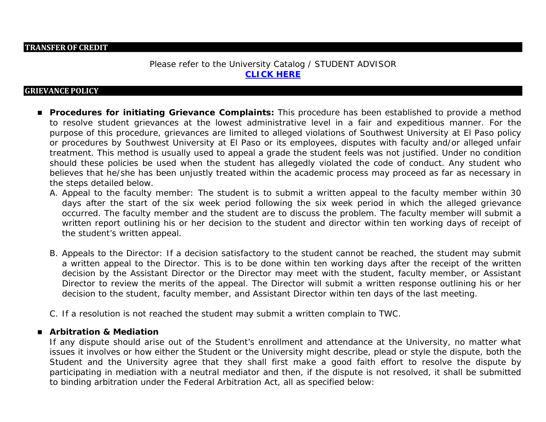#### **TRANSFEROF CREDIT**

## Please refer to the University Catalog / STUDENT ADVISOR **[CLICK HERE](http://southwestuniversity.edu/PDF/Catalog.pdf)**

#### **GRIEVANCE POLICY**

- **Procedures for initiating Grievance Complaints:** This procedure has been established to provide a method to resolve student grievances at the lowest administrative level in a fair and expeditious manner. For the purpose of this procedure, grievances are limited to alleged violations of Southwest University at El Paso policy or procedures by Southwest University at El Paso or its employees, disputes with faculty and/or alleged unfair treatment. This method is usually used to appeal a grade the student feels was not justified. Under no condition should these policies be used when the student has allegedly violated the code of conduct. Any student who believes that he/she has been unjustly treated within the academic process may proceed as far as necessary in the steps detailed below.
	- A. Appeal to the faculty member: The student is to submit a written appeal to the faculty member within 30 days after the start of the six week period following the six week period in which the alleged grievance occurred. The faculty member and the student are to discuss the problem. The faculty member will submit a written report outlining his or her decision to the student and director within ten working days of receipt of the student's written appeal.
	- B. Appeals to the Director: If a decision satisfactory to the student cannot be reached, the student may submit a written appeal to the Director. This is to be done within ten working days after the receipt of the written decision by the Assistant Director or the Director may meet with the student, faculty member, or Assistant Director to review the merits of the appeal. The Director will submit a written response outlining his or her decision to the student, faculty member, and Assistant Director within ten days of the last meeting.
	- C. If a resolution is not reached the student may submit a written complain to TWC.

#### **Arbitration & Mediation**

If any dispute should arise out of the Student's enrollment and attendance at the University, no matter what issues it involves or how either the Student or the University might describe, plead or style the dispute, both the Student and the University agree that they shall first make a good faith effort to resolve the dispute by participating in mediation with a neutral mediator and then, if the dispute is not resolved, it shall be submitted to binding arbitration under the Federal Arbitration Act, all as specified below: